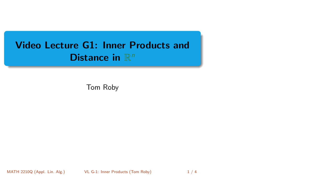# <span id="page-0-0"></span>Video Lecture G1: Inner Products and Distance in  $\mathbb{R}^n$

Tom Roby

MATH 2210Q (Appl. Lin. Alg.) [VL G-1: Inner Products](#page-3-0) (Tom Roby) 1/4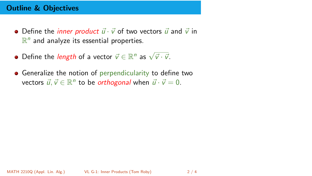## Outline & Objectives

- Define the *inner product*  $\vec{u} \cdot \vec{v}$  of two vectors  $\vec{u}$  and  $\vec{v}$  in  $\mathbb{R}^n$  and analyze its essential properties.
- Define the *length* of a vector  $\vec{v} \in \mathbb{R}^n$  as  $\sqrt{\vec{v} \cdot \vec{v}}$ .
- **•** Generalize the notion of perpendicularity to define two vectors  $\vec{u}, \vec{v} \in \mathbb{R}^n$  to be *orthogonal* when  $\vec{u} \cdot \vec{v} = 0$ .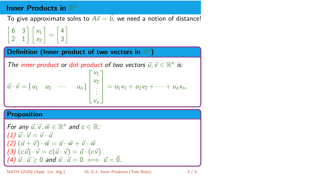# Inner Products in  $\mathbb{R}^n$

To give approximate solns to  $A\vec{x} = \vec{b}$ , we need a notion of distance!

 $\begin{bmatrix} 6 & 3 \end{bmatrix}$ 2 1  $\bigcap x_1$  $x_2$  $=\begin{bmatrix} 4 \\ 2 \end{bmatrix}$ 3 1

### Definition (Inner product of two vectors in  $\mathbb{R}^n$ )

The inner product or dot product of two vectors 
$$
\vec{u}, \vec{v} \in \mathbb{R}^n
$$
 is:  
\n
$$
\vec{u} \cdot \vec{v} = \begin{bmatrix} u_1 & u_2 & \cdots & u_n \end{bmatrix} \begin{bmatrix} v_1 \\ v_2 \\ \vdots \\ v_n \end{bmatrix} = u_1v_1 + u_2v_2 + \cdots + u_nv_n.
$$

#### **Proposition**

For any 
$$
\vec{u}, \vec{v}, \vec{w} \in \mathbb{R}^n
$$
 and  $c \in \mathbb{R}$ :  
\n(1)  $\vec{u} \cdot \vec{v} = \vec{v} \cdot \vec{u}$   
\n(2)  $(\vec{u} + \vec{v}) \cdot \vec{w} = \vec{u} \cdot \vec{w} + \vec{v} \cdot \vec{w}$   
\n(3)  $(c\vec{u}) \cdot \vec{v} = c(\vec{u} \cdot \vec{v}) = \vec{u} \cdot (c\vec{v})$   
\n(4)  $\vec{u} \cdot \vec{u} \ge 0$  and  $\vec{u} \cdot \vec{u} = 0 \iff \vec{u} = \vec{0}$ .